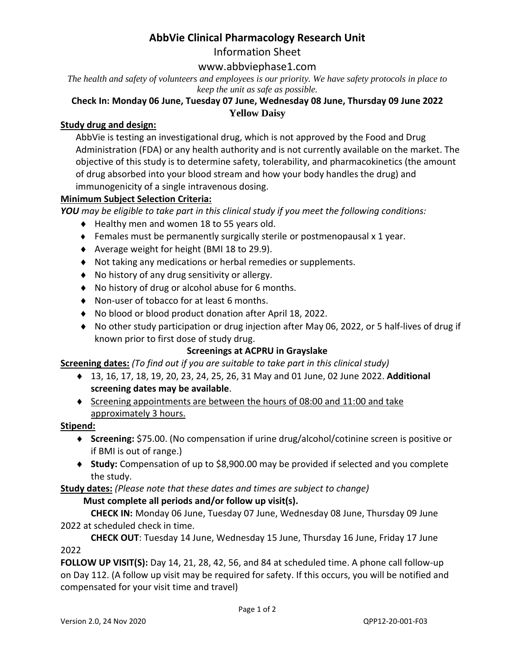## **AbbVie Clinical Pharmacology Research Unit**

Information Sheet

### www.abbviephase1.com

*The health and safety of volunteers and employees is our priority. We have safety protocols in place to keep the unit as safe as possible.*

#### **Check In: Monday 06 June, Tuesday 07 June, Wednesday 08 June, Thursday 09 June 2022 Yellow Daisy**

#### **Study drug and design:**

AbbVie is testing an investigational drug, which is not approved by the Food and Drug Administration (FDA) or any health authority and is not currently available on the market. The objective of this study is to determine safety, tolerability, and pharmacokinetics (the amount of drug absorbed into your blood stream and how your body handles the drug) and immunogenicity of a single intravenous dosing.

#### **Minimum Subject Selection Criteria:**

*YOU may be eligible to take part in this clinical study if you meet the following conditions:* 

- ◆ Healthy men and women 18 to 55 years old.
- $\bullet$  Females must be permanently surgically sterile or postmenopausal x 1 year.
- Average weight for height (BMI 18 to 29.9).
- Not taking any medications or herbal remedies or supplements.
- ◆ No history of any drug sensitivity or allergy.
- ◆ No history of drug or alcohol abuse for 6 months.
- ◆ Non-user of tobacco for at least 6 months.
- No blood or blood product donation after April 18, 2022.
- No other study participation or drug injection after May 06, 2022, or 5 half-lives of drug if known prior to first dose of study drug.

#### **Screenings at ACPRU in Grayslake**

**Screening dates:** *(To find out if you are suitable to take part in this clinical study)*

- ◆ 13, 16, 17, 18, 19, 20, 23, 24, 25, 26, 31 May and 01 June, 02 June 2022. Additional **screening dates may be available**.
- $\bullet$  Screening appointments are between the hours of 08:00 and 11:00 and take approximately 3 hours.

#### **Stipend:**

- **Screening:** \$75.00. (No compensation if urine drug/alcohol/cotinine screen is positive or if BMI is out of range.)
- **Study:** Compensation of up to \$8,900.00 may be provided if selected and you complete the study.

**Study dates:** *(Please note that these dates and times are subject to change)*

#### **Must complete all periods and/or follow up visit(s).**

**CHECK IN:** Monday 06 June, Tuesday 07 June, Wednesday 08 June, Thursday 09 June 2022 at scheduled check in time.

**CHECK OUT**: Tuesday 14 June, Wednesday 15 June, Thursday 16 June, Friday 17 June 2022

**FOLLOW UP VISIT(S):** Day 14, 21, 28, 42, 56, and 84 at scheduled time. A phone call follow-up on Day 112. (A follow up visit may be required for safety. If this occurs, you will be notified and compensated for your visit time and travel)